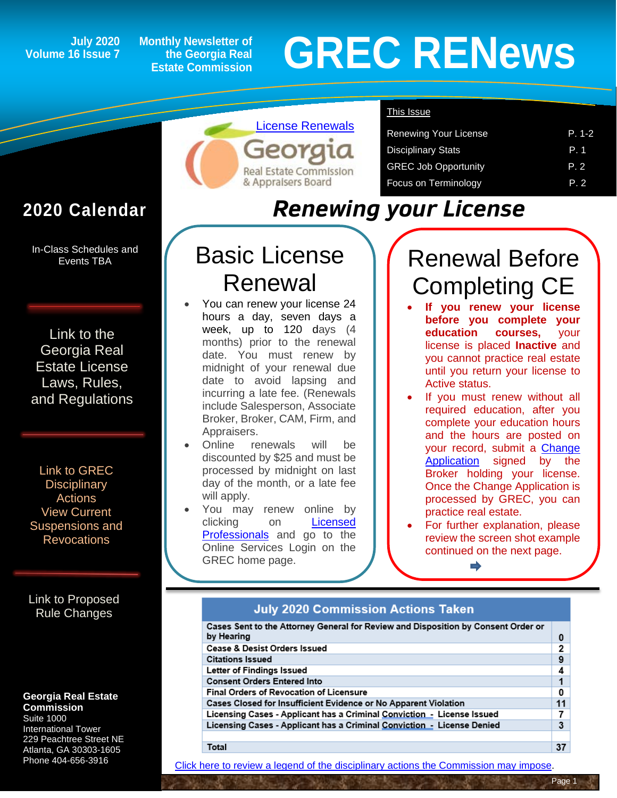## **Volume 16 Issue 7**

**Monthly Newsletter of the Georgia Real Estate Commission**

# **General Space 2** Monthly Newsletter of<br>
Estate Commission<br>
Estate Commission

This Issue

## **2020 Calendar**

In-Class Schedules and Events TBA

[Link to the](https://grec.state.ga.us/information-research/license-law/)  [Georgia Real](https://grec.state.ga.us/information-research/license-law/)  [Estate License](https://grec.state.ga.us/information-research/license-law/)  [Laws, Rules,](https://grec.state.ga.us/information-research/license-law/)  [and Regulations](https://grec.state.ga.us/information-research/license-law/)

[Link to GREC](http://www.grec.state.ga.us/about/resanctions.html)  **Disciplinary** [Actions](http://www.grec.state.ga.us/about/resanctions.html) View Current [Suspensions and](https://grec.state.ga.us/information-research/disciplinary-actions/real-estate/)  **Revocations** 

[Link to Proposed](https://grec.state.ga.us/information-research/legislation/real-estate/)  [Rule Changes](https://grec.state.ga.us/information-research/legislation/real-estate/)

#### **Georgia Real Estate Commission**

Suite 1000 International Tower 229 Peachtree Street NE Atlanta, GA 30303-1605 Phone 404-656-3916

## *Renewing your License*

## Basic License Renewal

[License Renewals](https://grec.state.ga.us/licensed-professionals/renewing-a-license/real-estate/)

**Real Estate Commission** & Appraisers Board

- You can renew your license 24 hours a day, seven days a week, up to 120 days (4 months) prior to the renewal date. You must renew by midnight of your renewal due date to avoid lapsing and incurring a late fee. (Renewals include Salesperson, Associate Broker, Broker, CAM, Firm, and Appraisers.
- Online renewals will be discounted by \$25 and must be processed by midnight on last day of the month, or a late fee will apply.
- You may renew online by clicking on [Licensed](https://grec.state.ga.us/)  [Professionals](https://grec.state.ga.us/) and go to the Online Services Login on the GREC home page.

## Renewal Before Completing CE

Renewing Your License **P. 1-2** Disciplinary Stats **P. 1** GREC Job Opportunity **P. 2** Focus on Terminology **P. 2** 

- **If you renew your license before you complete your education courses,** your license is placed **Inactive** and you cannot practice real estate until you return your license to Active status.
- If you must renew without all required education, after you complete your education hours and the hours are posted on your record, submit a [Change](https://grec.state.ga.us/wp-content/uploads/pdfs/RealEstate/GRECChangeApplication.pdf)  [Application](https://grec.state.ga.us/wp-content/uploads/pdfs/RealEstate/GRECChangeApplication.pdf) signed by the Broker holding your license. Once the Change Application is processed by GREC, you can practice real estate.
- For further explanation, please review the screen shot example continued on the next page.

#### **July 2020 Commission Actions Taken**

| Cases Sent to the Attorney General for Review and Disposition by Consent Order or |    |  |
|-----------------------------------------------------------------------------------|----|--|
| by Hearing                                                                        | 0  |  |
| <b>Cease &amp; Desist Orders Issued</b>                                           | 2  |  |
| <b>Citations Issued</b>                                                           | 9  |  |
| Letter of Findings Issued                                                         | 4  |  |
| <b>Consent Orders Entered Into</b>                                                |    |  |
| Final Orders of Revocation of Licensure                                           |    |  |
| Cases Closed for Insufficient Evidence or No Apparent Violation                   |    |  |
| Licensing Cases - Applicant has a Criminal Conviction - License Issued            |    |  |
| Licensing Cases - Applicant has a Criminal Conviction - License Denied            |    |  |
|                                                                                   |    |  |
| Total                                                                             | 37 |  |

[Click here to review a legend of the disciplinary actions the Commission may impose.](https://www.jmre.com/grec/GRECDisciplinaryTools.pdf)